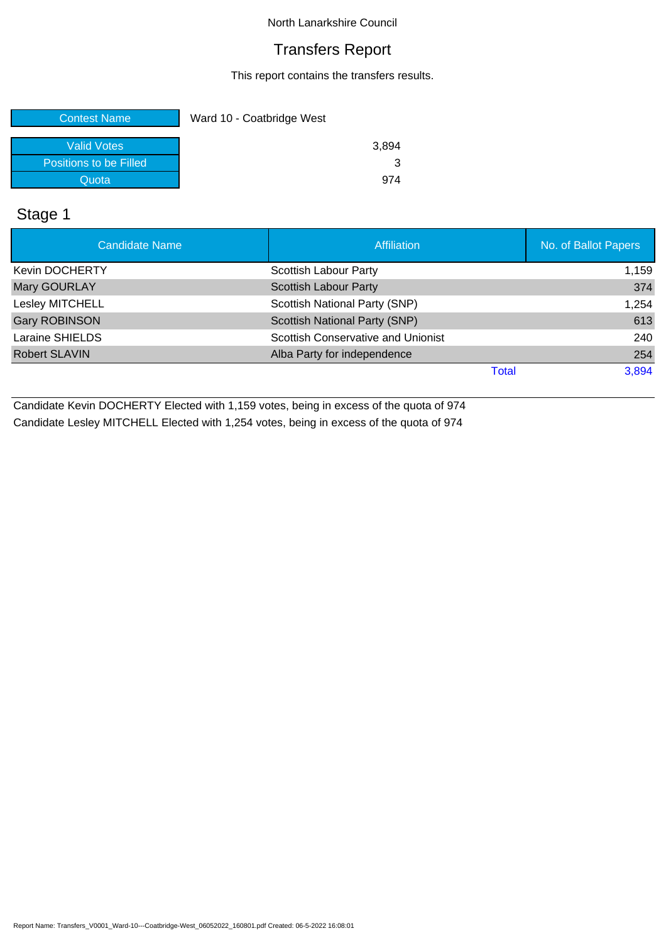### Transfers Report

This report contains the transfers results.

| <b>Contest Name</b>    | Ward 10 - Coatbridge West |
|------------------------|---------------------------|
|                        |                           |
| Valid Votes            | 3,894                     |
| Positions to be Filled |                           |
| Quota                  | 974                       |

# Stage 1

| <b>Candidate Name</b> | <b>Affiliation</b>                        | No. of Ballot Papers |
|-----------------------|-------------------------------------------|----------------------|
| <b>Kevin DOCHERTY</b> | Scottish Labour Party                     | 1,159                |
| Mary GOURLAY          | <b>Scottish Labour Party</b>              | 374                  |
| Lesley MITCHELL       | Scottish National Party (SNP)             | 1,254                |
| <b>Gary ROBINSON</b>  | Scottish National Party (SNP)             | 613                  |
| Laraine SHIELDS       | <b>Scottish Conservative and Unionist</b> | 240                  |
| <b>Robert SLAVIN</b>  | Alba Party for independence               | 254                  |
|                       | Total                                     | 3,894                |

Candidate Kevin DOCHERTY Elected with 1,159 votes, being in excess of the quota of 974 Candidate Lesley MITCHELL Elected with 1,254 votes, being in excess of the quota of 974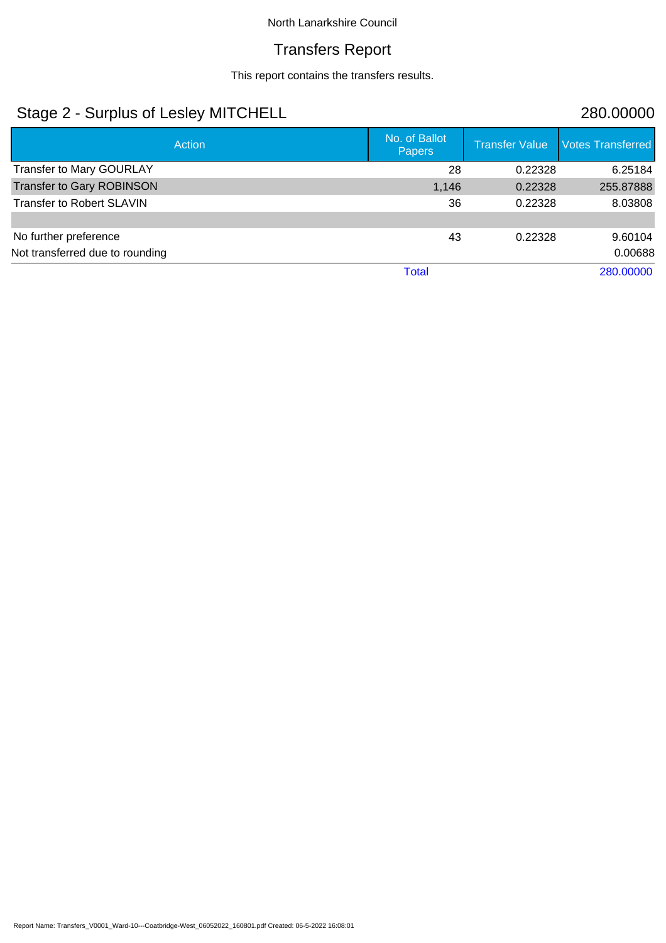### Transfers Report

This report contains the transfers results.

# Stage 2 - Surplus of Lesley MITCHELL 280.00000

| Action                           | No. of Ballot<br><b>Papers</b> | <b>Transfer Value</b> | <b>Votes Transferred</b> |
|----------------------------------|--------------------------------|-----------------------|--------------------------|
| <b>Transfer to Mary GOURLAY</b>  | 28                             | 0.22328               | 6.25184                  |
| <b>Transfer to Gary ROBINSON</b> | 1,146                          | 0.22328               | 255.87888                |
| <b>Transfer to Robert SLAVIN</b> | 36                             | 0.22328               | 8.03808                  |
|                                  |                                |                       |                          |
| No further preference            | 43                             | 0.22328               | 9.60104                  |
| Not transferred due to rounding  |                                |                       | 0.00688                  |
|                                  | <b>Total</b>                   |                       | 280.00000                |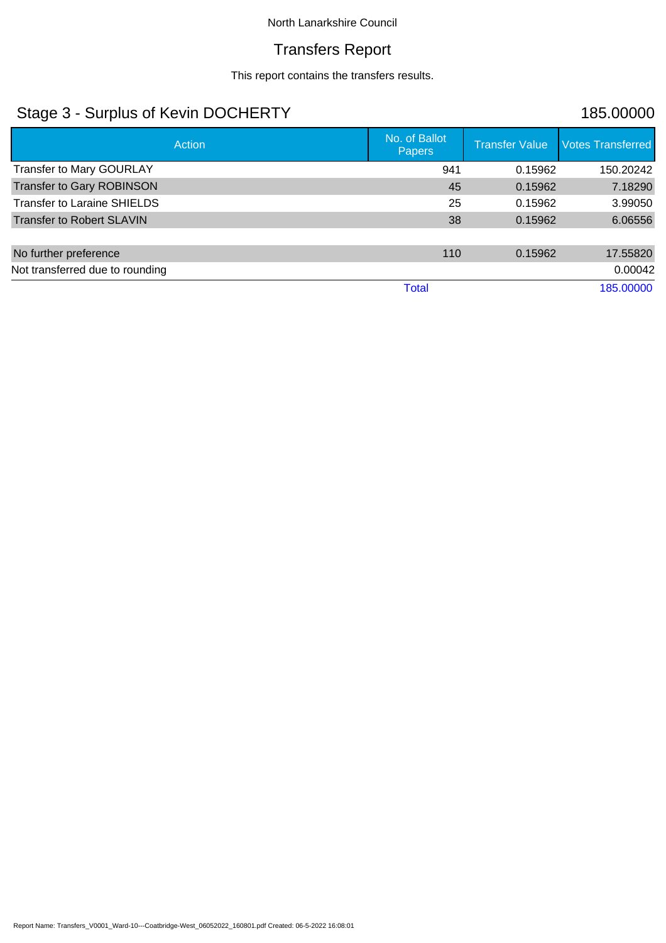### Transfers Report

This report contains the transfers results.

# Stage 3 - Surplus of Kevin DOCHERTY 185.00000

| Action                             | No. of Ballot<br><b>Papers</b> | <b>Transfer Value</b> | <b>Votes Transferred</b> |
|------------------------------------|--------------------------------|-----------------------|--------------------------|
| <b>Transfer to Mary GOURLAY</b>    | 941                            | 0.15962               | 150.20242                |
| <b>Transfer to Gary ROBINSON</b>   | 45                             | 0.15962               | 7.18290                  |
| <b>Transfer to Laraine SHIELDS</b> | 25                             | 0.15962               | 3.99050                  |
| <b>Transfer to Robert SLAVIN</b>   | 38                             | 0.15962               | 6.06556                  |
|                                    |                                |                       |                          |
| No further preference              | 110                            | 0.15962               | 17.55820                 |
| Not transferred due to rounding    |                                |                       | 0.00042                  |
|                                    | <b>Total</b>                   |                       | 185.00000                |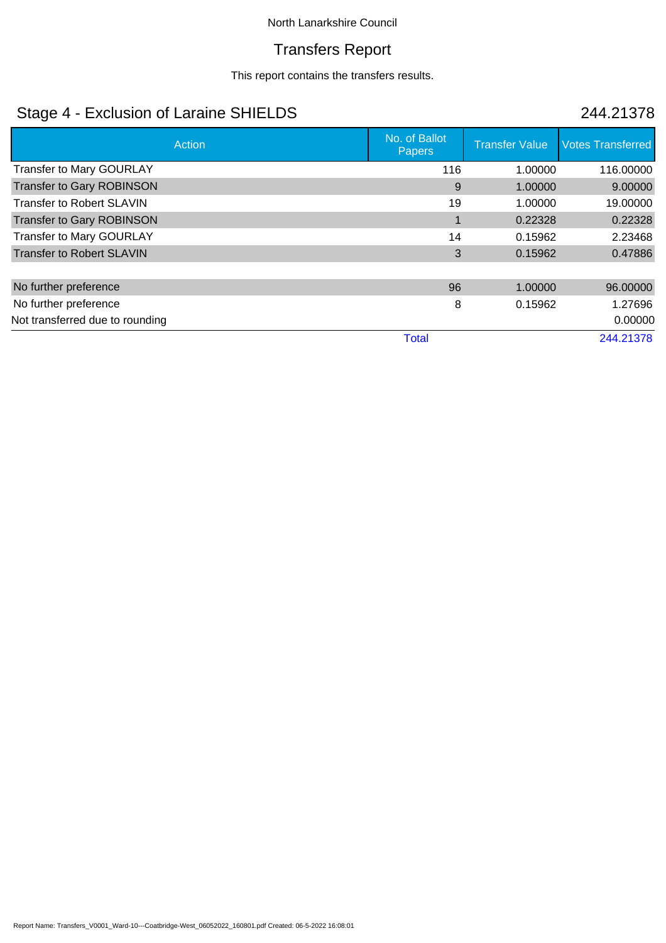### Transfers Report

This report contains the transfers results.

# Stage 4 - Exclusion of Laraine SHIELDS 244.21378

| Action                           | No. of Ballot<br>Papers | <b>Transfer Value</b> | <b>Votes Transferred</b> |
|----------------------------------|-------------------------|-----------------------|--------------------------|
| <b>Transfer to Mary GOURLAY</b>  | 116                     | 1.00000               | 116.00000                |
| <b>Transfer to Gary ROBINSON</b> | 9                       | 1.00000               | 9.00000                  |
| <b>Transfer to Robert SLAVIN</b> | 19                      | 1.00000               | 19.00000                 |
| <b>Transfer to Gary ROBINSON</b> |                         | 0.22328               | 0.22328                  |
| Transfer to Mary GOURLAY         | 14                      | 0.15962               | 2.23468                  |
| <b>Transfer to Robert SLAVIN</b> | 3                       | 0.15962               | 0.47886                  |
|                                  |                         |                       |                          |
| No further preference            | 96                      | 1.00000               | 96.00000                 |
| No further preference            | 8                       | 0.15962               | 1.27696                  |
| Not transferred due to rounding  |                         |                       | 0.00000                  |
|                                  | <b>Total</b>            |                       | 244.21378                |